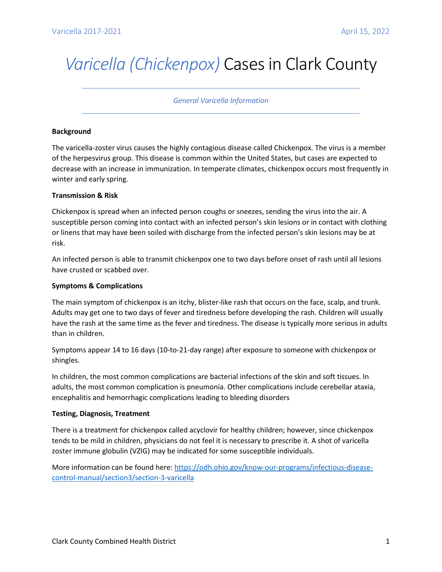# *Varicella (Chickenpox)* Cases in Clark County

# *General Varicella Information*

# **Background**

The varicella-zoster virus causes the highly contagious disease called Chickenpox. The virus is a member of the herpesvirus group. This disease is common within the United States, but cases are expected to decrease with an increase in immunization. In temperate climates, chickenpox occurs most frequently in winter and early spring.

### **Transmission & Risk**

Chickenpox is spread when an infected person coughs or sneezes, sending the virus into the air. A susceptible person coming into contact with an infected person's skin lesions or in contact with clothing or linens that may have been soiled with discharge from the infected person's skin lesions may be at risk.

An infected person is able to transmit chickenpox one to two days before onset of rash until all lesions have crusted or scabbed over.

# **Symptoms & Complications**

The main symptom of chickenpox is an itchy, blister-like rash that occurs on the face, scalp, and trunk. Adults may get one to two days of fever and tiredness before developing the rash. Children will usually have the rash at the same time as the fever and tiredness. The disease is typically more serious in adults than in children.

Symptoms appear 14 to 16 days (10-to-21-day range) after exposure to someone with chickenpox or shingles.

In children, the most common complications are bacterial infections of the skin and soft tissues. In adults, the most common complication is pneumonia. Other complications include cerebellar ataxia, encephalitis and hemorrhagic complications leading to bleeding disorders

#### **Testing, Diagnosis, Treatment**

There is a treatment for chickenpox called acyclovir for healthy children; however, since chickenpox tends to be mild in children, physicians do not feel it is necessary to prescribe it. A shot of varicella zoster immune globulin (VZIG) may be indicated for some susceptible individuals.

More information can be found here[: https://odh.ohio.gov/know-our-programs/infectious-disease](https://odh.ohio.gov/know-our-programs/infectious-disease-control-manual/section3/section-3-varicella)[control-manual/section3/section-3-varicella](https://odh.ohio.gov/know-our-programs/infectious-disease-control-manual/section3/section-3-varicella)